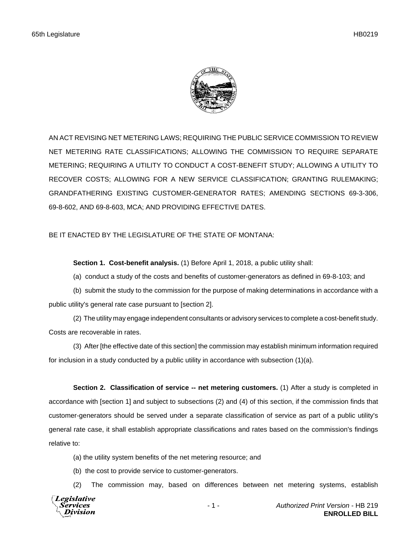

AN ACT REVISING NET METERING LAWS; REQUIRING THE PUBLIC SERVICE COMMISSION TO REVIEW NET METERING RATE CLASSIFICATIONS; ALLOWING THE COMMISSION TO REQUIRE SEPARATE METERING; REQUIRING A UTILITY TO CONDUCT A COST-BENEFIT STUDY; ALLOWING A UTILITY TO RECOVER COSTS; ALLOWING FOR A NEW SERVICE CLASSIFICATION; GRANTING RULEMAKING; GRANDFATHERING EXISTING CUSTOMER-GENERATOR RATES; AMENDING SECTIONS 69-3-306, 69-8-602, AND 69-8-603, MCA; AND PROVIDING EFFECTIVE DATES.

BE IT ENACTED BY THE LEGISLATURE OF THE STATE OF MONTANA:

**Section 1. Cost-benefit analysis.** (1) Before April 1, 2018, a public utility shall:

(a) conduct a study of the costs and benefits of customer-generators as defined in 69-8-103; and

(b) submit the study to the commission for the purpose of making determinations in accordance with a public utility's general rate case pursuant to [section 2].

(2) The utility may engage independent consultants or advisory services to complete a cost-benefit study. Costs are recoverable in rates.

(3) After [the effective date of this section] the commission may establish minimum information required for inclusion in a study conducted by a public utility in accordance with subsection (1)(a).

**Section 2. Classification of service -- net metering customers.** (1) After a study is completed in accordance with [section 1] and subject to subsections (2) and (4) of this section, if the commission finds that customer-generators should be served under a separate classification of service as part of a public utility's general rate case, it shall establish appropriate classifications and rates based on the commission's findings relative to:

(a) the utility system benefits of the net metering resource; and

(b) the cost to provide service to customer-generators.

(2) The commission may, based on differences between net metering systems, establish

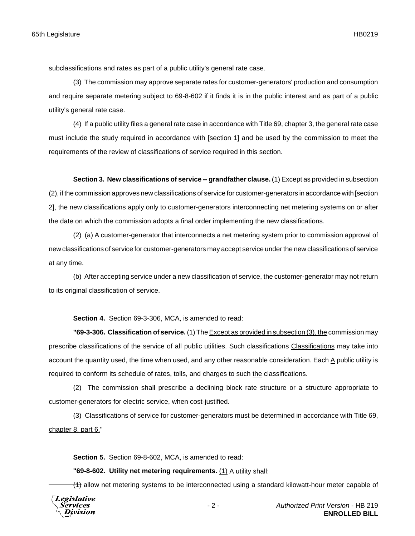subclassifications and rates as part of a public utility's general rate case.

(3) The commission may approve separate rates for customer-generators' production and consumption and require separate metering subject to 69-8-602 if it finds it is in the public interest and as part of a public utility's general rate case.

(4) If a public utility files a general rate case in accordance with Title 69, chapter 3, the general rate case must include the study required in accordance with [section 1] and be used by the commission to meet the requirements of the review of classifications of service required in this section.

**Section 3. New classifications of service -- grandfather clause.** (1) Except as provided in subsection (2), if the commission approves new classifications of service for customer-generators in accordance with [section 2], the new classifications apply only to customer-generators interconnecting net metering systems on or after the date on which the commission adopts a final order implementing the new classifications.

(2) (a) A customer-generator that interconnects a net metering system prior to commission approval of new classifications of service for customer-generators may accept service under the new classifications of service at any time.

(b) After accepting service under a new classification of service, the customer-generator may not return to its original classification of service.

**Section 4.** Section 69-3-306, MCA, is amended to read:

**"69-3-306. Classification of service.** (1) The Except as provided in subsection (3), the commission may prescribe classifications of the service of all public utilities. Such classifications Classifications may take into account the quantity used, the time when used, and any other reasonable consideration. Each  $\underline{A}$  public utility is required to conform its schedule of rates, tolls, and charges to such the classifications.

(2) The commission shall prescribe a declining block rate structure or a structure appropriate to customer-generators for electric service, when cost-justified.

(3) Classifications of service for customer-generators must be determined in accordance with Title 69, chapter 8, part 6."

**Section 5.** Section 69-8-602, MCA, is amended to read:

**"69-8-602. Utility net metering requirements.** (1) A utility shall:

(4) allow net metering systems to be interconnected using a standard kilowatt-hour meter capable of

**Legislative** *Services* Division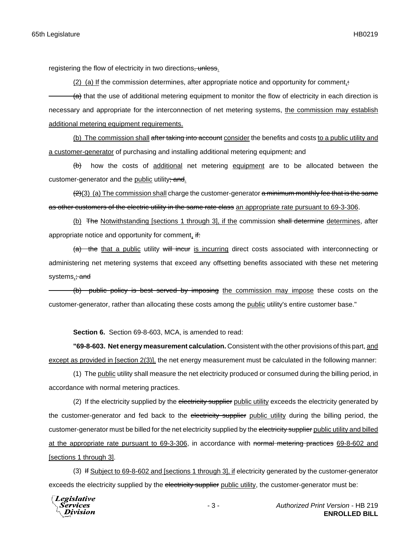registering the flow of electricity in two directions, unless.

(2) (a) If the commission determines, after appropriate notice and opportunity for comment, $\div$  $(a)$  that the use of additional metering equipment to monitor the flow of electricity in each direction is necessary and appropriate for the interconnection of net metering systems, the commission may establish additional metering equipment requirements.

(b) The commission shall after taking into account consider the benefits and costs to a public utility and a customer-generator of purchasing and installing additional metering equipment; and

 $(b)$  how the costs of additional net metering equipment are to be allocated between the customer-generator and the public utility; and.

 $(2)(3)$  (a) The commission shall charge the customer-generator a minimum monthly fee that is the same as other customers of the electric utility in the same rate class an appropriate rate pursuant to 69-3-306.

(b) The Notwithstanding [sections 1 through 3], if the commission shall determine determines, after appropriate notice and opportunity for comment,  $\frac{df}{dx}$ 

(a) the that a public utility will incur is incurring direct costs associated with interconnecting or administering net metering systems that exceed any offsetting benefits associated with these net metering systems, and

(b) public policy is best served by imposing the commission may impose these costs on the customer-generator, rather than allocating these costs among the public utility's entire customer base."

**Section 6.** Section 69-8-603, MCA, is amended to read:

**"69-8-603. Net energy measurement calculation.** Consistent with the other provisions of this part, and except as provided in [section 2(3)], the net energy measurement must be calculated in the following manner:

(1) The public utility shall measure the net electricity produced or consumed during the billing period, in accordance with normal metering practices.

(2) If the electricity supplied by the electricity supplier public utility exceeds the electricity generated by the customer-generator and fed back to the electricity supplier public utility during the billing period, the customer-generator must be billed for the net electricity supplied by the electricity supplier public utility and billed at the appropriate rate pursuant to 69-3-306, in accordance with normal metering practices 69-8-602 and [sections 1 through 3].

(3) If Subject to 69-8-602 and [sections 1 through 3], if electricity generated by the customer-generator exceeds the electricity supplied by the electricity supplier public utility, the customer-generator must be:

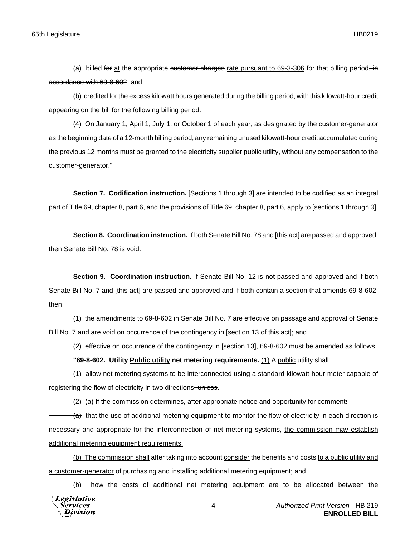(a) billed for at the appropriate customer charges rate pursuant to 69-3-306 for that billing period, in accordance with 69-8-602; and

(b) credited for the excess kilowatt hours generated during the billing period, with this kilowatt-hour credit appearing on the bill for the following billing period.

(4) On January 1, April 1, July 1, or October 1 of each year, as designated by the customer-generator as the beginning date of a 12-month billing period, any remaining unused kilowatt-hour credit accumulated during the previous 12 months must be granted to the electricity supplier public utility, without any compensation to the customer-generator."

**Section 7. Codification instruction.** [Sections 1 through 3] are intended to be codified as an integral part of Title 69, chapter 8, part 6, and the provisions of Title 69, chapter 8, part 6, apply to [sections 1 through 3].

**Section 8. Coordination instruction.** If both Senate Bill No. 78 and [this act] are passed and approved, then Senate Bill No. 78 is void.

**Section 9. Coordination instruction.** If Senate Bill No. 12 is not passed and approved and if both Senate Bill No. 7 and [this act] are passed and approved and if both contain a section that amends 69-8-602, then:

(1) the amendments to 69-8-602 in Senate Bill No. 7 are effective on passage and approval of Senate Bill No. 7 and are void on occurrence of the contingency in [section 13 of this act]; and

(2) effective on occurrence of the contingency in [section 13], 69-8-602 must be amended as follows:

**"69-8-602. Utility Public utility net metering requirements.** (1) A public utility shall:

 $(1)$  allow net metering systems to be interconnected using a standard kilowatt-hour meter capable of registering the flow of electricity in two directions, unless.

(2) (a) If the commission determines, after appropriate notice and opportunity for comment:

 $(a)$  that the use of additional metering equipment to monitor the flow of electricity in each direction is necessary and appropriate for the interconnection of net metering systems, the commission may establish additional metering equipment requirements.

(b) The commission shall after taking into account consider the benefits and costs to a public utility and a customer-generator of purchasing and installing additional metering equipment; and

 $(b)$  how the costs of additional net metering equipment are to be allocated between the

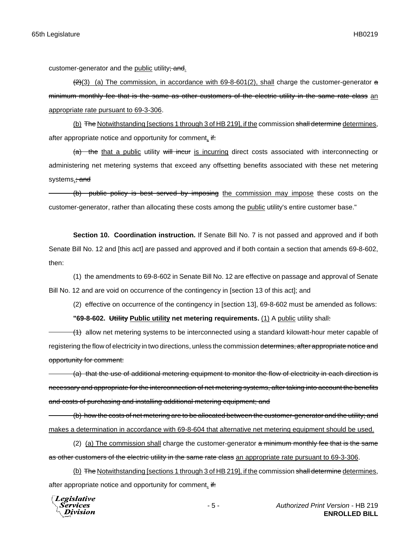customer-generator and the public utility; and.

 $(2)(3)$  (a) The commission, in accordance with 69-8-601(2), shall charge the customer-generator  $\alpha$ minimum monthly fee that is the same as other customers of the electric utility in the same rate class an appropriate rate pursuant to 69-3-306.

(b) The Notwithstanding [sections 1 through 3 of HB 219], if the commission shall determine determines, after appropriate notice and opportunity for comment,  $\frac{df}{dx}$ 

(a) the that a public utility will incur is incurring direct costs associated with interconnecting or administering net metering systems that exceed any offsetting benefits associated with these net metering systems, and

(b) public policy is best served by imposing the commission may impose these costs on the customer-generator, rather than allocating these costs among the public utility's entire customer base."

**Section 10. Coordination instruction.** If Senate Bill No. 7 is not passed and approved and if both Senate Bill No. 12 and [this act] are passed and approved and if both contain a section that amends 69-8-602, then:

(1) the amendments to 69-8-602 in Senate Bill No. 12 are effective on passage and approval of Senate Bill No. 12 and are void on occurrence of the contingency in [section 13 of this act]; and

(2) effective on occurrence of the contingency in [section 13], 69-8-602 must be amended as follows:

**"69-8-602. Utility Public utility net metering requirements.** (1) A public utility shall:

 $(1)$  allow net metering systems to be interconnected using a standard kilowatt-hour meter capable of registering the flow of electricity in two directions, unless the commission determines, after appropriate notice and opportunity for comment:

(a) that the use of additional metering equipment to monitor the flow of electricity in each direction is necessary and appropriate for the interconnection of net metering systems, after taking into account the benefits and costs of purchasing and installing additional metering equipment; and

(b) how the costs of net metering are to be allocated between the customer-generator and the utility; and makes a determination in accordance with 69-8-604 that alternative net metering equipment should be used.

(2) (a) The commission shall charge the customer-generator  $a$  minimum monthly fee that is the same as other customers of the electric utility in the same rate class an appropriate rate pursuant to 69-3-306.

(b) The Notwithstanding [sections 1 through 3 of HB 219], if the commission shall determine determines, after appropriate notice and opportunity for comment, if:

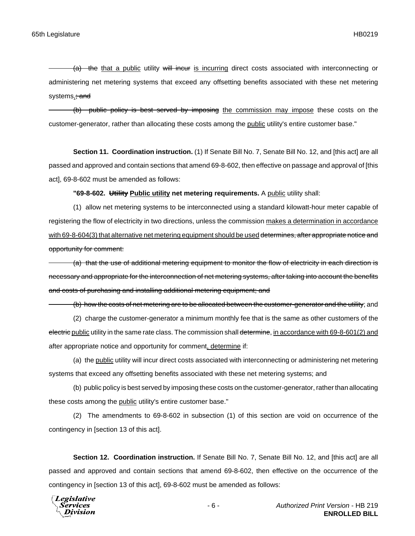$(a)$  the that a public utility will incur is incurring direct costs associated with interconnecting or administering net metering systems that exceed any offsetting benefits associated with these net metering systems, and

(b) public policy is best served by imposing the commission may impose these costs on the customer-generator, rather than allocating these costs among the public utility's entire customer base."

**Section 11. Coordination instruction.** (1) If Senate Bill No. 7, Senate Bill No. 12, and [this act] are all passed and approved and contain sections that amend 69-8-602, then effective on passage and approval of [this act], 69-8-602 must be amended as follows:

**"69-8-602. Utility Public utility net metering requirements.** A public utility shall:

(1) allow net metering systems to be interconnected using a standard kilowatt-hour meter capable of registering the flow of electricity in two directions, unless the commission makes a determination in accordance with 69-8-604(3) that alternative net metering equipment should be used determines, after appropriate notice and opportunity for comment:

(a) that the use of additional metering equipment to monitor the flow of electricity in each direction is necessary and appropriate for the interconnection of net metering systems, after taking into account the benefits and costs of purchasing and installing additional metering equipment; and

(b) how the costs of net metering are to be allocated between the customer-generator and the utility; and

(2) charge the customer-generator a minimum monthly fee that is the same as other customers of the electric public utility in the same rate class. The commission shall determine, in accordance with 69-8-601(2) and after appropriate notice and opportunity for comment, determine if:

(a) the public utility will incur direct costs associated with interconnecting or administering net metering systems that exceed any offsetting benefits associated with these net metering systems; and

(b) public policy is best served by imposing these costs on the customer-generator, rather than allocating these costs among the public utility's entire customer base."

(2) The amendments to 69-8-602 in subsection (1) of this section are void on occurrence of the contingency in [section 13 of this act].

Section 12. Coordination instruction. If Senate Bill No. 7, Senate Bill No. 12, and [this act] are all passed and approved and contain sections that amend 69-8-602, then effective on the occurrence of the contingency in [section 13 of this act], 69-8-602 must be amended as follows:

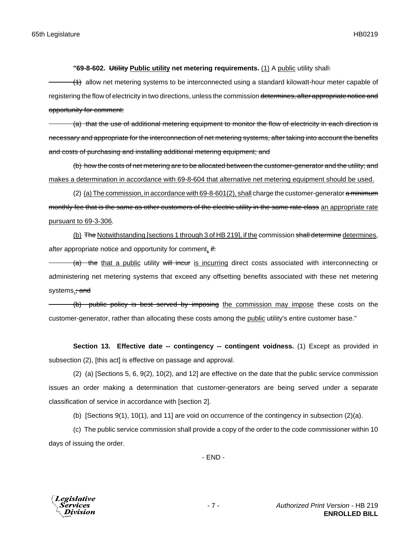## **"69-8-602. Utility Public utility net metering requirements.** (1) A public utility shall:

 $(1)$  allow net metering systems to be interconnected using a standard kilowatt-hour meter capable of registering the flow of electricity in two directions, unless the commission determines, after appropriate notice and opportunity for comment:

(a) that the use of additional metering equipment to monitor the flow of electricity in each direction is necessary and appropriate for the interconnection of net metering systems, after taking into account the benefits and costs of purchasing and installing additional metering equipment; and

(b) how the costs of net metering are to be allocated between the customer-generator and the utility; and makes a determination in accordance with 69-8-604 that alternative net metering equipment should be used.

(2) (a) The commission, in accordance with 69-8-601(2), shall charge the customer-generator a minimum monthly fee that is the same as other customers of the electric utility in the same rate class an appropriate rate pursuant to 69-3-306.

(b) The Notwithstanding [sections 1 through 3 of HB 219], if the commission shall determine determines, after appropriate notice and opportunity for comment,  $\frac{df}{dx}$ 

 $(a)$  the that a public utility will incur is incurring direct costs associated with interconnecting or administering net metering systems that exceed any offsetting benefits associated with these net metering systems, and

(b) public policy is best served by imposing the commission may impose these costs on the customer-generator, rather than allocating these costs among the public utility's entire customer base."

**Section 13. Effective date -- contingency -- contingent voidness.** (1) Except as provided in subsection (2), [this act] is effective on passage and approval.

(2) (a) [Sections 5, 6, 9(2), 10(2), and 12] are effective on the date that the public service commission issues an order making a determination that customer-generators are being served under a separate classification of service in accordance with [section 2].

(b) [Sections 9(1), 10(1), and 11] are void on occurrence of the contingency in subsection (2)(a).

(c) The public service commission shall provide a copy of the order to the code commissioner within 10 days of issuing the order.

- END -

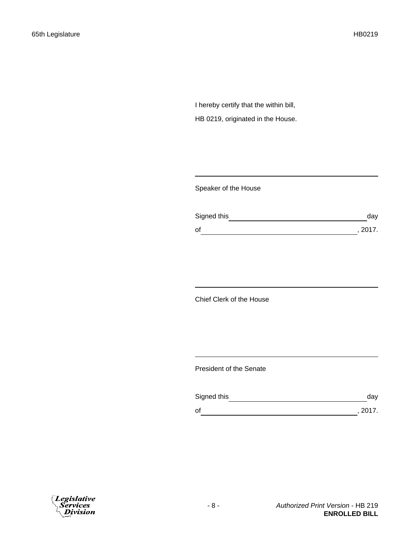I hereby certify that the within bill, HB 0219, originated in the House.

Speaker of the House

| Signed this | day     |
|-------------|---------|
| of          | , 2017. |

Chief Clerk of the House

President of the Senate

| Signed this | day     |
|-------------|---------|
| οf          | , 2017. |